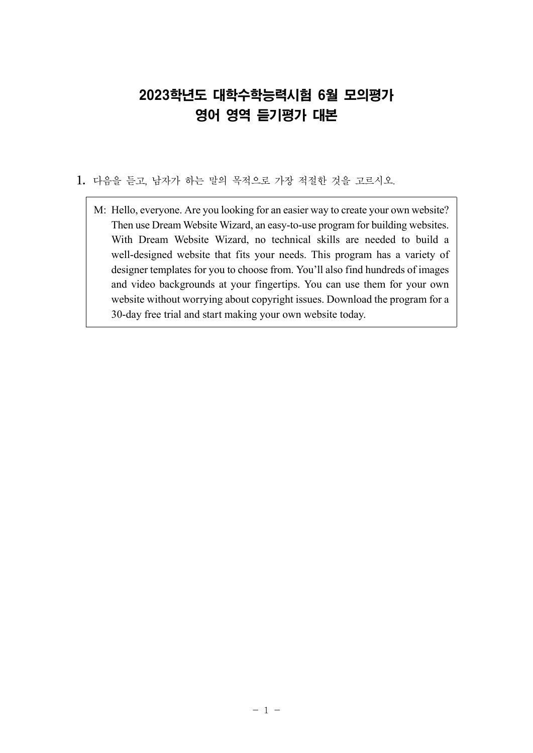# 2023학년도 대학수학능력시험 6월 모의평가 영어 영역 듣기평가 대본

- 1. 다음을 듣고, 남자가 하는 말의 목적으로 가장 적절한 것을 고르시오.
	- M: Hello, everyone. Are you looking for an easier way to create your own website? Then use Dream Website Wizard, an easy-to-use program for building websites. With Dream Website Wizard, no technical skills are needed to build a well-designed website that fits your needs. This program has a variety of designer templates for you to choose from. You'll also find hundreds of images and video backgrounds at your fingertips. You can use them for your own website without worrying about copyright issues. Download the program for a 30-day free trial and start making your own website today.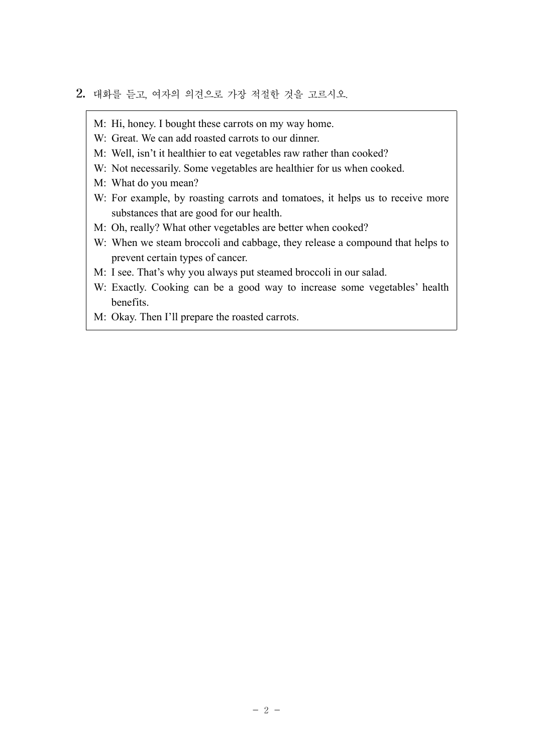- 2. 대화를 듣고, 여자의 의견으로 가장 적절한 것을 고르시오.
	- M: Hi, honey. I bought these carrots on my way home.
	- W: Great. We can add roasted carrots to our dinner.
	- M: Well, isn't it healthier to eat vegetables raw rather than cooked?
	- W: Not necessarily. Some vegetables are healthier for us when cooked.
	- M: What do you mean?
	- W: For example, by roasting carrots and tomatoes, it helps us to receive more substances that are good for our health.
	- M: Oh, really? What other vegetables are better when cooked?
	- W: When we steam broccoli and cabbage, they release a compound that helps to prevent certain types of cancer.
	- M: I see. That's why you always put steamed broccoli in our salad.
	- W: Exactly. Cooking can be a good way to increase some vegetables' health benefits.
	- M: Okay. Then I'll prepare the roasted carrots.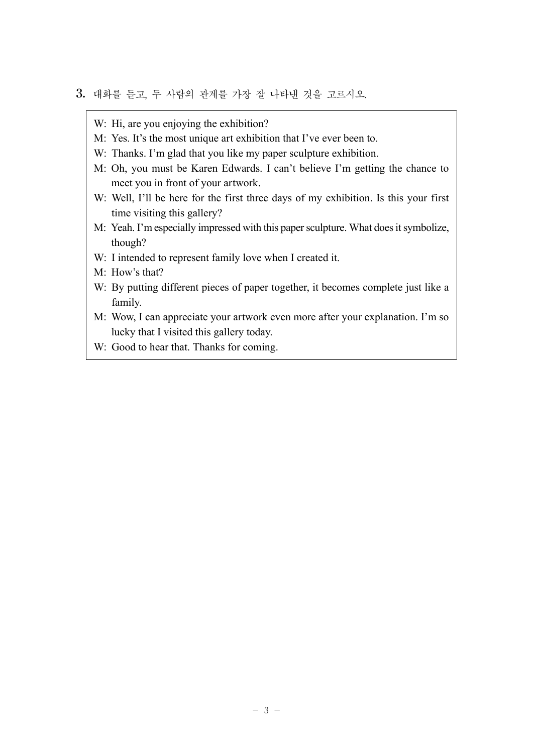- 3. 대화를 듣고, 두 사람의 관계를 가장 잘 나타낸 것을 고르시오.
	- W: Hi, are you enjoying the exhibition?
	- M: Yes. It's the most unique art exhibition that I've ever been to.
	- W: Thanks. I'm glad that you like my paper sculpture exhibition.
	- M: Oh, you must be Karen Edwards. I can't believe I'm getting the chance to meet you in front of your artwork.
	- W: Well, I'll be here for the first three days of my exhibition. Is this your first time visiting this gallery?
	- M: Yeah. I'm especially impressed with this paper sculpture. What does it symbolize, though?
	- W: I intended to represent family love when I created it.
	- M: How's that?
	- W: By putting different pieces of paper together, it becomes complete just like a family.
	- M: Wow, I can appreciate your artwork even more after your explanation. I'm so lucky that I visited this gallery today.
	- W: Good to hear that. Thanks for coming.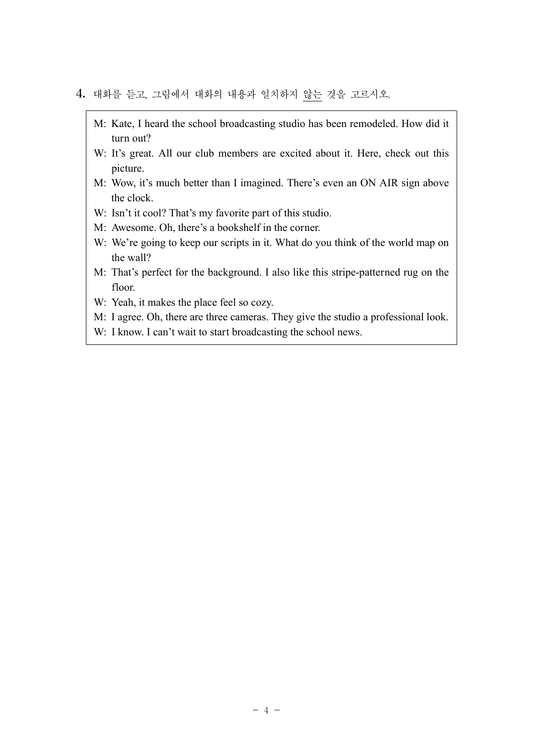## 4. 대화를 듣고, 그림에서 대화의 내용과 일치하지 않는 것을 고르시오.

- M: Kate, I heard the school broadcasting studio has been remodeled. How did it turn out?
- W: It's great. All our club members are excited about it. Here, check out this picture.
- M: Wow, it's much better than I imagined. There's even an ON AIR sign above the clock.
- W: Isn't it cool? That's my favorite part of this studio.
- M: Awesome. Oh, there's a bookshelf in the corner.
- W: We're going to keep our scripts in it. What do you think of the world map on the wall?
- M: That's perfect for the background. I also like this stripe-patterned rug on the floor.
- W: Yeah, it makes the place feel so cozy.
- M: I agree. Oh, there are three cameras. They give the studio a professional look.
- W: I know. I can't wait to start broadcasting the school news.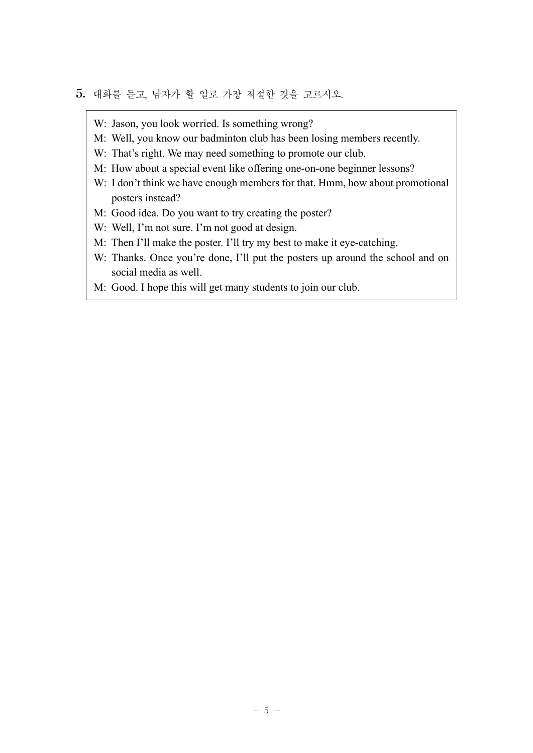## 5. 대화를 듣고, 남자가 할 일로 가장 적절한 것을 고르시오.

- W: Jason, you look worried. Is something wrong?
- M: Well, you know our badminton club has been losing members recently.
- W: That's right. We may need something to promote our club.
- M: How about a special event like offering one-on-one beginner lessons?
- W: I don't think we have enough members for that. Hmm, how about promotional posters instead?
- M: Good idea. Do you want to try creating the poster?
- W: Well, I'm not sure. I'm not good at design.
- M: Then I'll make the poster. I'll try my best to make it eye-catching.
- W: Thanks. Once you're done, I'll put the posters up around the school and on social media as well.
- M: Good. I hope this will get many students to join our club.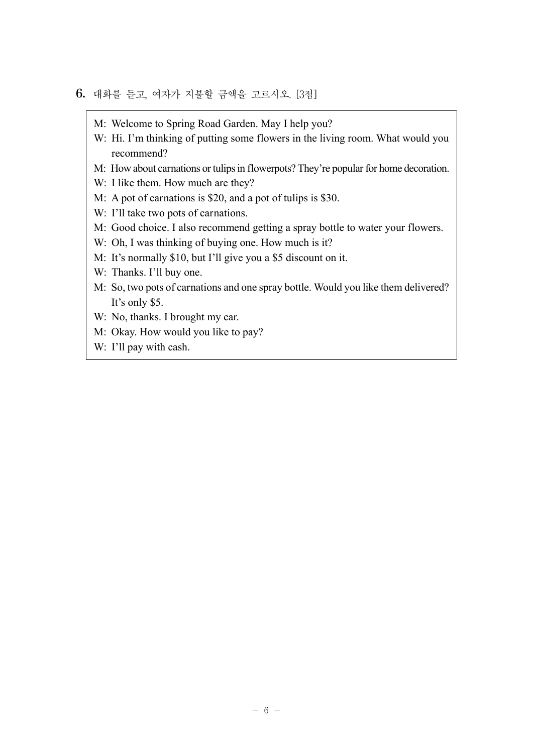## 6. 대화를 듣고, 여자가 지불할 금액을 고르시오. [3점]

- M: Welcome to Spring Road Garden. May I help you?
- W: Hi. I'm thinking of putting some flowers in the living room. What would you recommend?
- M: How about carnations or tulips in flowerpots? They're popular for home decoration.
- W: I like them. How much are they?
- M: A pot of carnations is \$20, and a pot of tulips is \$30.
- W: I'll take two pots of carnations.
- M: Good choice. I also recommend getting a spray bottle to water your flowers.
- W: Oh, I was thinking of buying one. How much is it?
- M: It's normally \$10, but I'll give you a \$5 discount on it.
- W: Thanks. I'll buy one.
- M: So, two pots of carnations and one spray bottle. Would you like them delivered? It's only \$5.
- W: No, thanks. I brought my car.
- M: Okay. How would you like to pay?
- W: I'll pay with cash.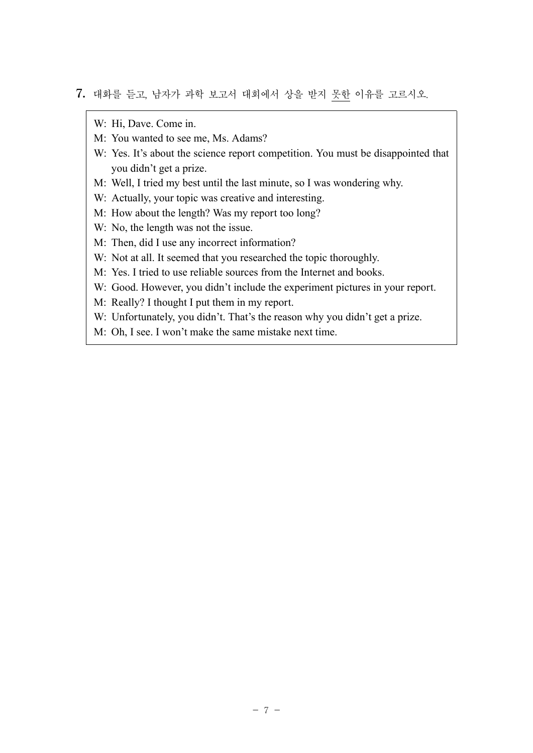7. 대화를 듣고, 남자가 과학 보고서 대회에서 상을 받지 못한 이유를 고르시오.

W: Hi, Dave. Come in.

- M: You wanted to see me, Ms. Adams?
- W: Yes. It's about the science report competition. You must be disappointed that you didn't get a prize.
- M: Well, I tried my best until the last minute, so I was wondering why.
- W: Actually, your topic was creative and interesting.
- M: How about the length? Was my report too long?
- W: No, the length was not the issue.
- M: Then, did I use any incorrect information?
- W: Not at all. It seemed that you researched the topic thoroughly.
- M: Yes. I tried to use reliable sources from the Internet and books.
- W: Good. However, you didn't include the experiment pictures in your report.
- M: Really? I thought I put them in my report.
- W: Unfortunately, you didn't. That's the reason why you didn't get a prize.
- M: Oh, I see. I won't make the same mistake next time.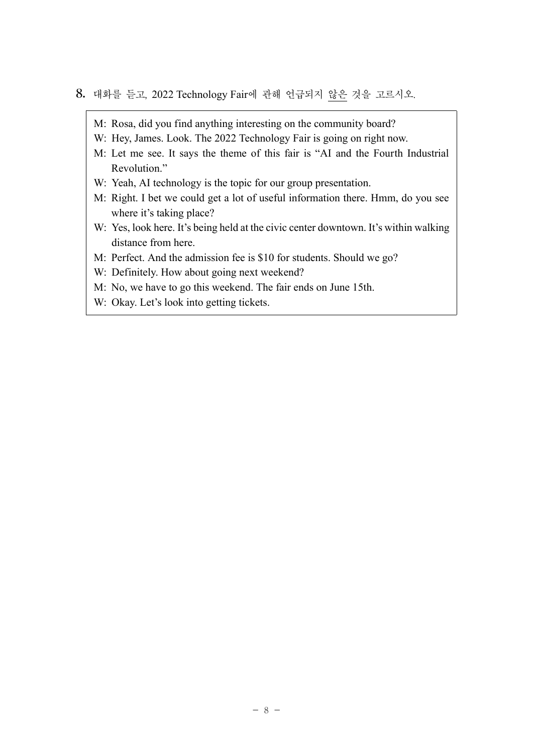#### 8. 대화를 듣고, 2022 Technology Fair에 관해 언급되지 않은 것을 고르시오.

- M: Rosa, did you find anything interesting on the community board?
- W: Hey, James. Look. The 2022 Technology Fair is going on right now.
- M: Let me see. It says the theme of this fair is "AI and the Fourth Industrial Revolution."
- W: Yeah, AI technology is the topic for our group presentation.
- M: Right. I bet we could get a lot of useful information there. Hmm, do you see where it's taking place?
- W: Yes, look here. It's being held at the civic center downtown. It's within walking distance from here.
- M: Perfect. And the admission fee is \$10 for students. Should we go?
- W: Definitely. How about going next weekend?
- M: No, we have to go this weekend. The fair ends on June 15th.
- W: Okay. Let's look into getting tickets.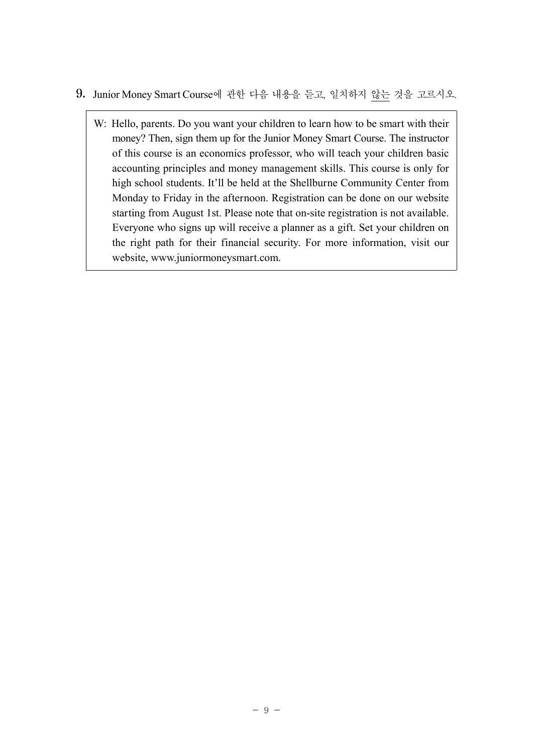- 9. Junior Money Smart Course에 관한 다음 내용을 듣고, 일치하지 않는 것을 고르시오.
	- W: Hello, parents. Do you want your children to learn how to be smart with their money? Then, sign them up for the Junior Money Smart Course. The instructor of this course is an economics professor, who will teach your children basic accounting principles and money management skills. This course is only for high school students. It'll be held at the Shellburne Community Center from Monday to Friday in the afternoon. Registration can be done on our website starting from August 1st. Please note that on-site registration is not available. Everyone who signs up will receive a planner as a gift. Set your children on the right path for their financial security. For more information, visit our website, www.juniormoneysmart.com.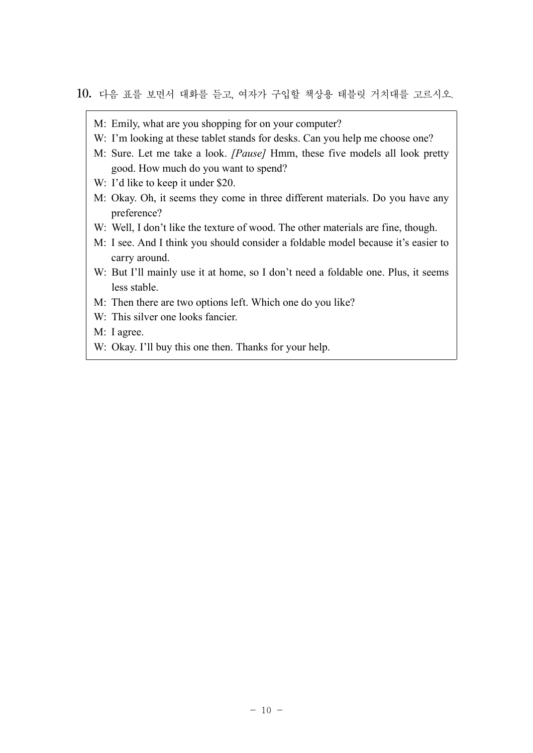#### 10. 다음 표를 보면서 대화를 듣고, 여자가 구입할 책상용 태블릿 거치대를 고르시오.

- M: Emily, what are you shopping for on your computer?
- W: I'm looking at these tablet stands for desks. Can you help me choose one?
- M: Sure. Let me take a look. *[Pause]* Hmm, these five models all look pretty good. How much do you want to spend?
- W: I'd like to keep it under \$20.
- M: Okay. Oh, it seems they come in three different materials. Do you have any preference?
- W: Well, I don't like the texture of wood. The other materials are fine, though.
- M: I see. And I think you should consider a foldable model because it's easier to carry around.
- W: But I'll mainly use it at home, so I don't need a foldable one. Plus, it seems less stable.
- M: Then there are two options left. Which one do you like?
- W: This silver one looks fancier.
- M: I agree.
- W: Okay. I'll buy this one then. Thanks for your help.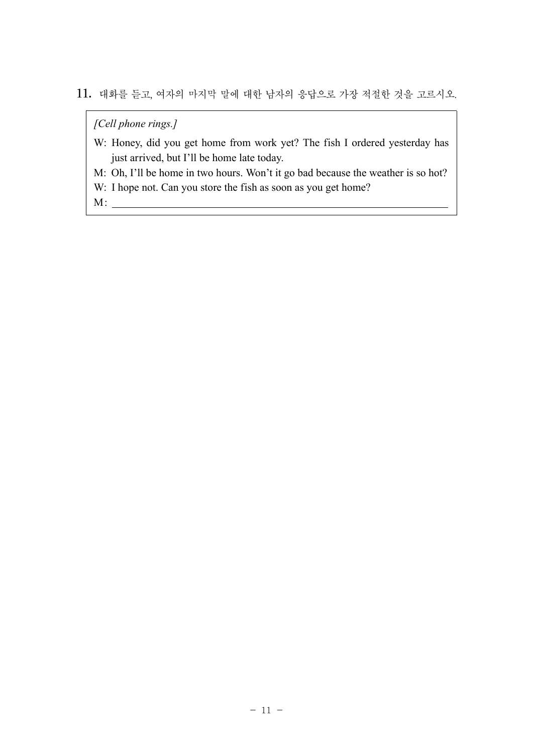11. 대화를 듣고, 여자의 마지막 말에 대한 남자의 응답으로 가장 적절한 것을 고르시오.

*[Cell phone rings.]*

- W: Honey, did you get home from work yet? The fish I ordered yesterday has just arrived, but I'll be home late today.
- M: Oh, I'll be home in two hours. Won't it go bad because the weather is so hot?
- W: I hope not. Can you store the fish as soon as you get home?

M: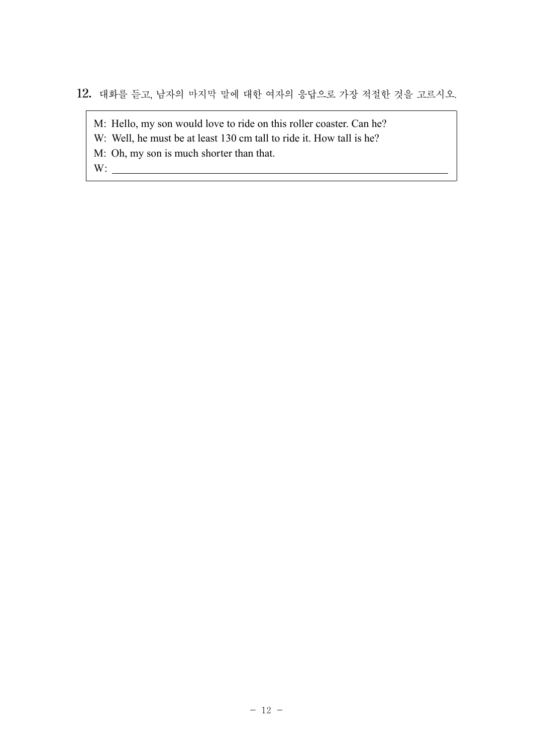12. 대화를 듣고, 남자의 마지막 말에 대한 여자의 응답으로 가장 적절한 것을 고르시오.

M: Hello, my son would love to ride on this roller coaster. Can he?

W: Well, he must be at least 130 cm tall to ride it. How tall is he?

M: Oh, my son is much shorter than that.

W: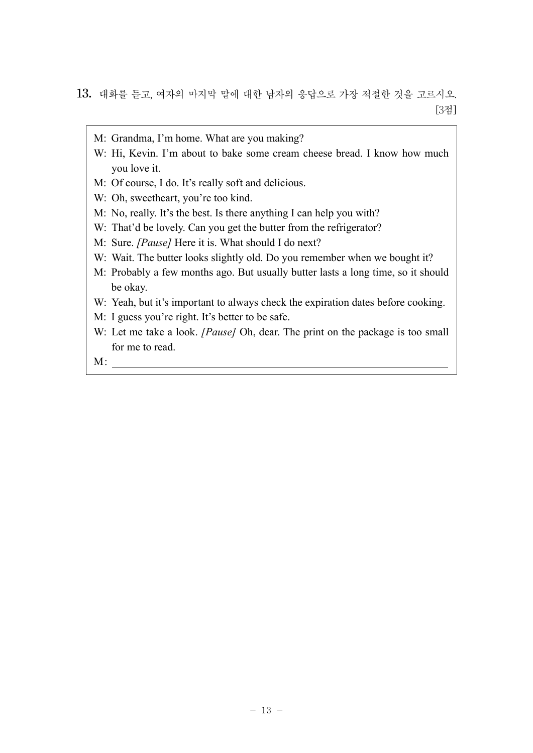- M: Grandma, I'm home. What are you making?
- W: Hi, Kevin. I'm about to bake some cream cheese bread. I know how much you love it.
- M: Of course, I do. It's really soft and delicious.
- W: Oh, sweetheart, you're too kind.
- M: No, really. It's the best. Is there anything I can help you with?
- W: That'd be lovely. Can you get the butter from the refrigerator?
- M: Sure. *[Pause]* Here it is. What should I do next?
- W: Wait. The butter looks slightly old. Do you remember when we bought it?
- M: Probably a few months ago. But usually butter lasts a long time, so it should be okay.
- W: Yeah, but it's important to always check the expiration dates before cooking.
- M: I guess you're right. It's better to be safe.
- W: Let me take a look. *[Pause]* Oh, dear. The print on the package is too small for me to read.

M: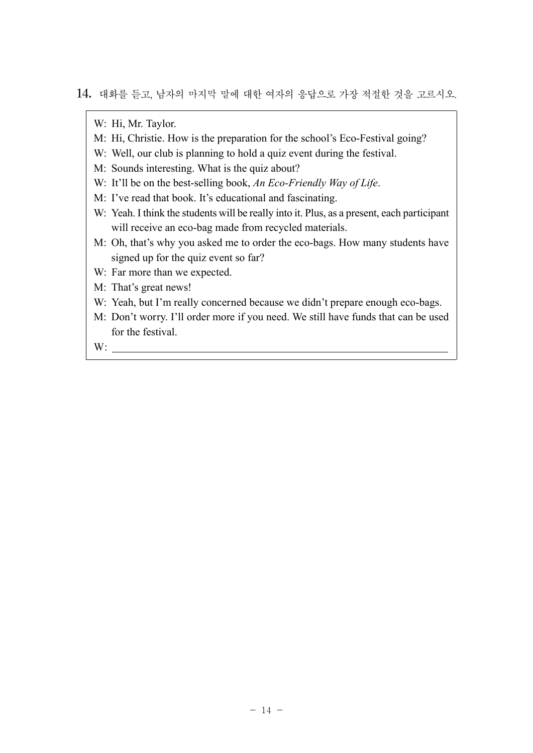14. 대화를 듣고, 남자의 마지막 말에 대한 여자의 응답으로 가장 적절한 것을 고르시오.

W: Hi, Mr. Taylor.

- M: Hi, Christie. How is the preparation for the school's Eco-Festival going?
- W: Well, our club is planning to hold a quiz event during the festival.
- M: Sounds interesting. What is the quiz about?
- W: It'll be on the best-selling book, *An Eco-Friendly Way of Life*.
- M: I've read that book. It's educational and fascinating.
- W: Yeah. I think the students will be really into it. Plus, as a present, each participant will receive an eco-bag made from recycled materials.
- M: Oh, that's why you asked me to order the eco-bags. How many students have signed up for the quiz event so far?
- W: Far more than we expected.
- M: That's great news!
- W: Yeah, but I'm really concerned because we didn't prepare enough eco-bags.
- M: Don't worry. I'll order more if you need. We still have funds that can be used for the festival.

W: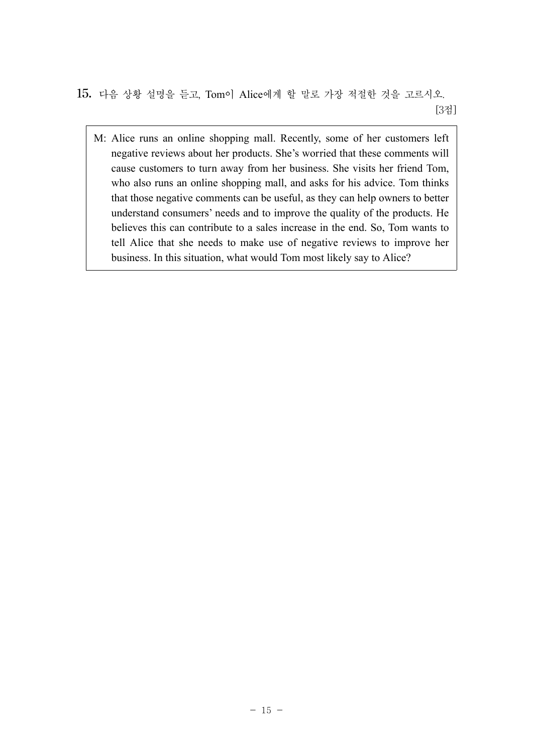15. 다음 상황 설명을 듣고, Tom이 Alice에게 할 말로 가장 적절한 것을 고르시오. [3점]

M: Alice runs an online shopping mall. Recently, some of her customers left negative reviews about her products. She's worried that these comments will cause customers to turn away from her business. She visits her friend Tom, who also runs an online shopping mall, and asks for his advice. Tom thinks that those negative comments can be useful, as they can help owners to better understand consumers' needs and to improve the quality of the products. He believes this can contribute to a sales increase in the end. So, Tom wants to tell Alice that she needs to make use of negative reviews to improve her business. In this situation, what would Tom most likely say to Alice?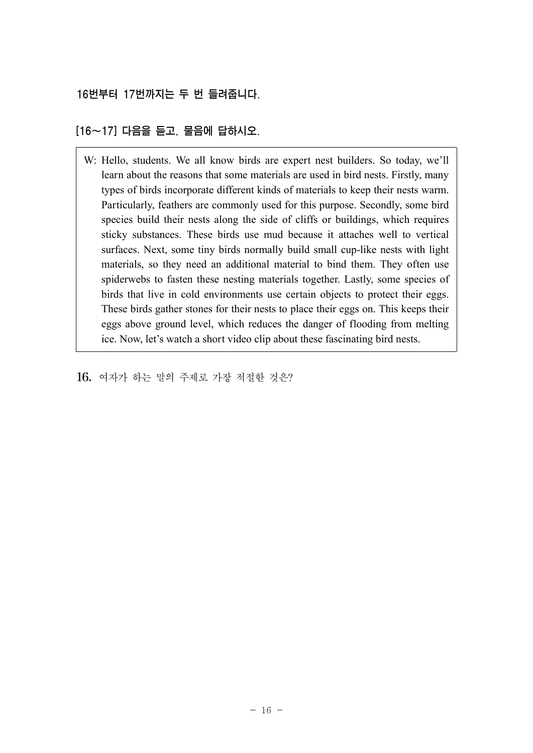16번부터 17번까지는 두 번 들려줍니다.

[16~17] 다음을 듣고, 물음에 답하시오.

W: Hello, students. We all know birds are expert nest builders. So today, we'll learn about the reasons that some materials are used in bird nests. Firstly, many types of birds incorporate different kinds of materials to keep their nests warm. Particularly, feathers are commonly used for this purpose. Secondly, some bird species build their nests along the side of cliffs or buildings, which requires sticky substances. These birds use mud because it attaches well to vertical surfaces. Next, some tiny birds normally build small cup-like nests with light materials, so they need an additional material to bind them. They often use spiderwebs to fasten these nesting materials together. Lastly, some species of birds that live in cold environments use certain objects to protect their eggs. These birds gather stones for their nests to place their eggs on. This keeps their eggs above ground level, which reduces the danger of flooding from melting ice. Now, let's watch a short video clip about these fascinating bird nests.

16. 여자가 하는 말의 주제로 가장 적절한 것은?